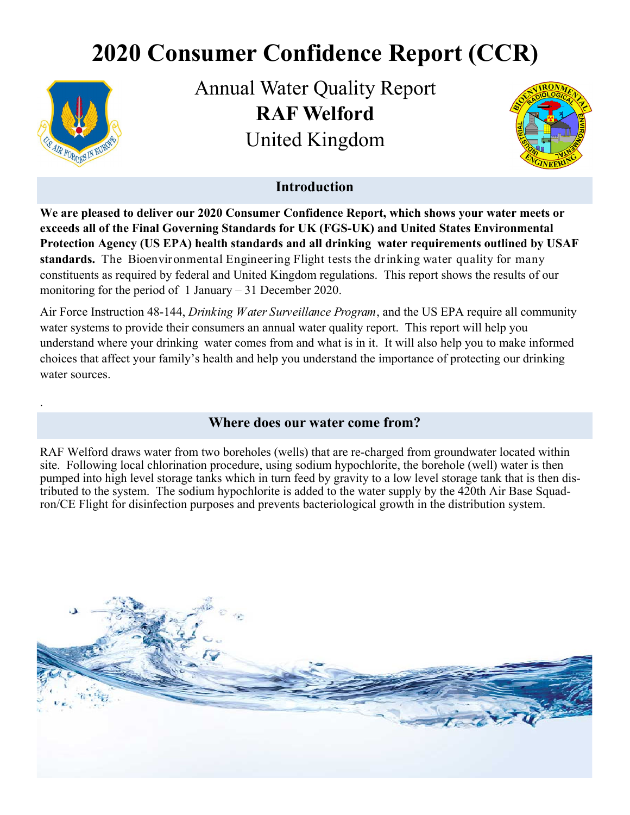# **2020 Consumer Confidence Report (CCR)**



.

Annual Water Quality Report **RAF Welford**  United Kingdom



## **Introduction**

**We are pleased to deliver our 2020 Consumer Confidence Report, which shows your water meets or exceeds all of the Final Governing Standards for UK (FGS-UK) and United States Environmental Protection Agency (US EPA) health standards and all drinking water requirements outlined by USAF standards.** The Bioenvironmental Engineering Flight tests the drinking water quality for many constituents as required by federal and United Kingdom regulations. This report shows the results of our monitoring for the period of 1 January – 31 December 2020.

Air Force Instruction 48-144, *Drinking Water Surveillance Program*, and the US EPA require all community water systems to provide their consumers an annual water quality report. This report will help you understand where your drinking water comes from and what is in it. It will also help you to make informed choices that affect your family's health and help you understand the importance of protecting our drinking water sources.

#### **Where does our water come from?**

RAF Welford draws water from two boreholes (wells) that are re-charged from groundwater located within site. Following local chlorination procedure, using sodium hypochlorite, the borehole (well) water is then pumped into high level storage tanks which in turn feed by gravity to a low level storage tank that is then distributed to the system. The sodium hypochlorite is added to the water supply by the 420th Air Base Squadron/CE Flight for disinfection purposes and prevents bacteriological growth in the distribution system.

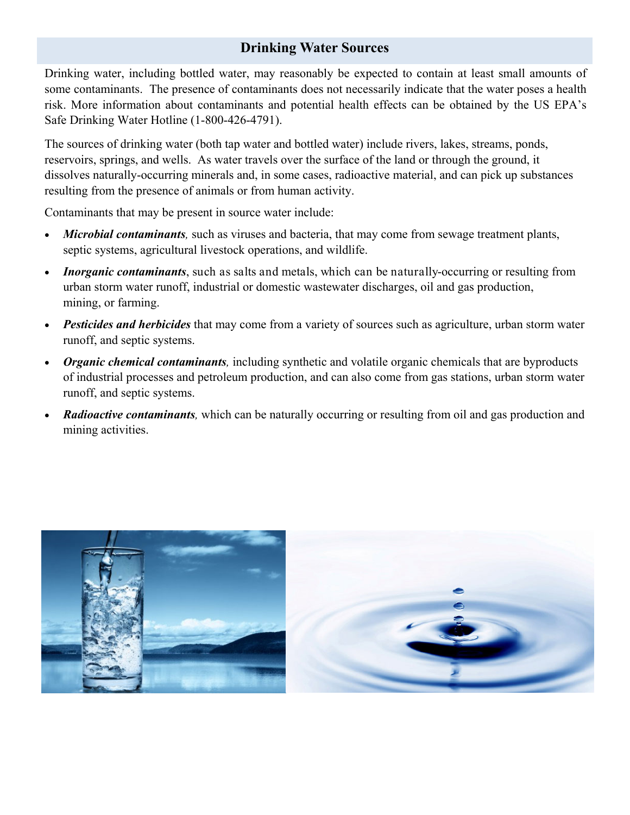## **Drinking Water Sources**

Drinking water, including bottled water, may reasonably be expected to contain at least small amounts of some contaminants. The presence of contaminants does not necessarily indicate that the water poses a health risk. More information about contaminants and potential health effects can be obtained by the US EPA's Safe Drinking Water Hotline (1-800-426-4791).

The sources of drinking water (both tap water and bottled water) include rivers, lakes, streams, ponds, reservoirs, springs, and wells. As water travels over the surface of the land or through the ground, it dissolves naturally-occurring minerals and, in some cases, radioactive material, and can pick up substances resulting from the presence of animals or from human activity.

Contaminants that may be present in source water include:

- *Microbial contaminants,* such as viruses and bacteria, that may come from sewage treatment plants, septic systems, agricultural livestock operations, and wildlife.
- *Inorganic contaminants*, such as salts and metals, which can be naturally-occurring or resulting from urban storm water runoff, industrial or domestic wastewater discharges, oil and gas production, mining, or farming.
- *Pesticides and herbicides* that may come from a variety of sources such as agriculture, urban storm water runoff, and septic systems.
- *Organic chemical contaminants,* including synthetic and volatile organic chemicals that are byproducts of industrial processes and petroleum production, and can also come from gas stations, urban storm water runoff, and septic systems.
- *Radioactive contaminants*, which can be naturally occurring or resulting from oil and gas production and mining activities.

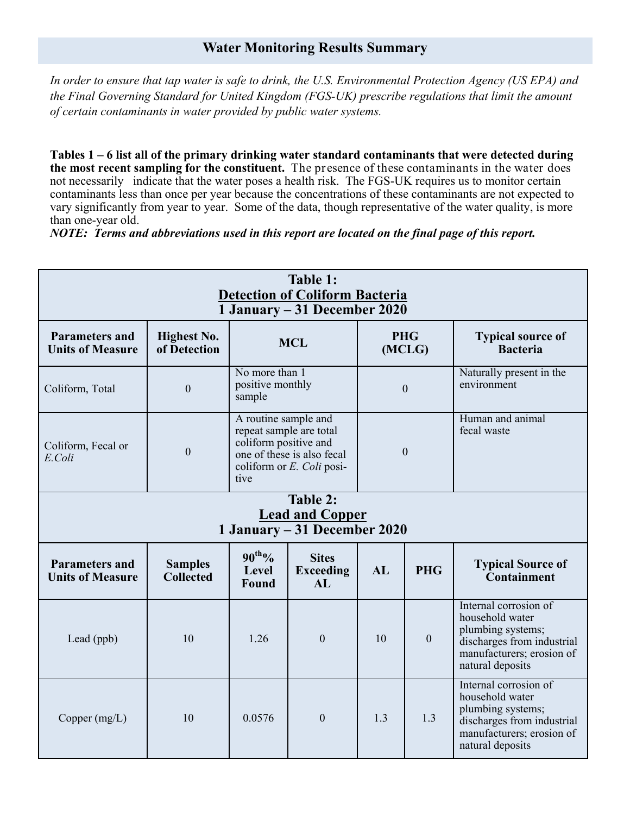## **Water Monitoring Results Summary**

*In order to ensure that tap water is safe to drink, the U.S. Environmental Protection Agency (US EPA) and the Final Governing Standard for United Kingdom (FGS-UK) prescribe regulations that limit the amount of certain contaminants in water provided by public water systems.* 

**Tables 1 – 6 list all of the primary drinking water standard contaminants that were detected during the most recent sampling for the constituent.** The presence of these contaminants in the water does not necessarily indicate that the water poses a health risk. The FGS-UK requires us to monitor certain contaminants less than once per year because the concentrations of these contaminants are not expected to vary significantly from year to year. Some of the data, though representative of the water quality, is more than one-year old.

*NOTE: Terms and abbreviations used in this report are located on the final page of this report.*

| Table 1:<br><b>Detection of Coliform Bacteria</b><br>1 January – 31 December 2020 |                                    |                                                                                                                                             |                                        |                      |            |                                                                                                                                              |
|-----------------------------------------------------------------------------------|------------------------------------|---------------------------------------------------------------------------------------------------------------------------------------------|----------------------------------------|----------------------|------------|----------------------------------------------------------------------------------------------------------------------------------------------|
| <b>Parameters and</b><br><b>Units of Measure</b>                                  | <b>Highest No.</b><br>of Detection | <b>MCL</b>                                                                                                                                  |                                        | <b>PHG</b><br>(MCLG) |            | <b>Typical source of</b><br><b>Bacteria</b>                                                                                                  |
| Coliform, Total                                                                   | $\boldsymbol{0}$                   | No more than 1<br>positive monthly<br>sample                                                                                                |                                        | $\boldsymbol{0}$     |            | Naturally present in the<br>environment                                                                                                      |
| Coliform, Fecal or<br>E.Coli                                                      | $\boldsymbol{0}$                   | A routine sample and<br>repeat sample are total<br>coliform positive and<br>one of these is also fecal<br>coliform or E. Coli posi-<br>tive |                                        | $\overline{0}$       |            | Human and animal<br>fecal waste                                                                                                              |
| Table 2:<br><b>Lead and Copper</b><br>1 January - 31 December 2020                |                                    |                                                                                                                                             |                                        |                      |            |                                                                                                                                              |
| <b>Parameters and</b><br><b>Units of Measure</b>                                  | <b>Samples</b><br><b>Collected</b> | $90^{th}\%$<br><b>Level</b><br>Found                                                                                                        | <b>Sites</b><br><b>Exceeding</b><br>AI | AL                   | <b>PHG</b> | <b>Typical Source of</b><br>Containment                                                                                                      |
| Lead (ppb)                                                                        | 10                                 | 1.26                                                                                                                                        | $\boldsymbol{0}$                       | 10                   | $\theta$   | Internal corrosion of<br>household water<br>plumbing systems;<br>discharges from industrial<br>manufacturers; erosion of<br>natural deposits |
| Copper $(mg/L)$                                                                   | 10                                 | 0.0576                                                                                                                                      | $\mathbf{0}$                           | 1.3                  | 1.3        | Internal corrosion of<br>household water<br>plumbing systems;<br>discharges from industrial<br>manufacturers; erosion of<br>natural deposits |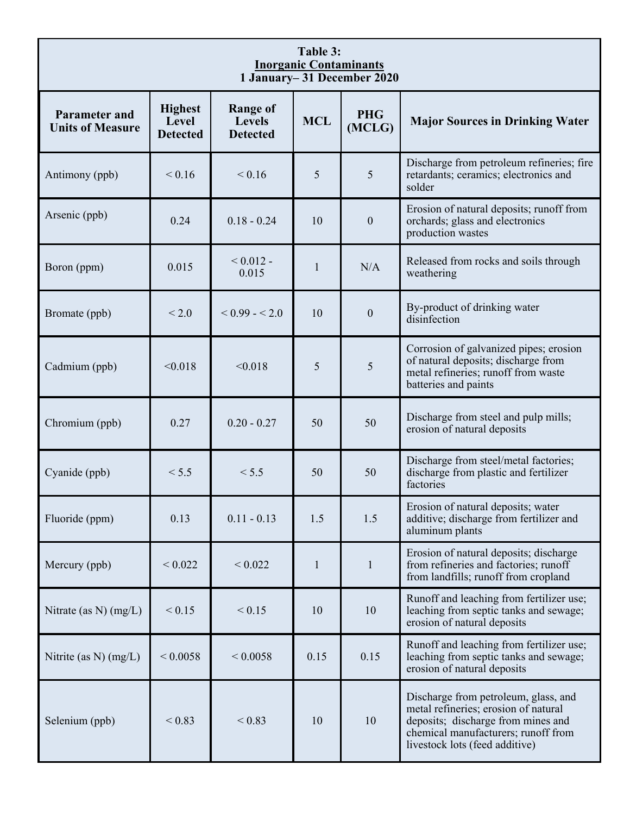| Table 3:<br><b>Inorganic Contaminants</b><br>1 January-31 December 2020 |                                            |                                                     |              |                      |                                                                                                                                                                                             |  |
|-------------------------------------------------------------------------|--------------------------------------------|-----------------------------------------------------|--------------|----------------------|---------------------------------------------------------------------------------------------------------------------------------------------------------------------------------------------|--|
| <b>Parameter and</b><br><b>Units of Measure</b>                         | <b>Highest</b><br>Level<br><b>Detected</b> | <b>Range of</b><br><b>Levels</b><br><b>Detected</b> | <b>MCL</b>   | <b>PHG</b><br>(MCLG) | <b>Major Sources in Drinking Water</b>                                                                                                                                                      |  |
| Antimony (ppb)                                                          | ${}< 0.16$                                 | ${}< 0.16$                                          | 5            | 5                    | Discharge from petroleum refineries; fire<br>retardants; ceramics; electronics and<br>solder                                                                                                |  |
| Arsenic (ppb)                                                           | 0.24                                       | $0.18 - 0.24$                                       | 10           | $\boldsymbol{0}$     | Erosion of natural deposits; runoff from<br>orchards; glass and electronics<br>production wastes                                                                                            |  |
| Boron (ppm)                                                             | 0.015                                      | ${}_{0.012}$ -<br>0.015                             | $\mathbf{1}$ | N/A                  | Released from rocks and soils through<br>weathering                                                                                                                                         |  |
| Bromate (ppb)                                                           | < 2.0                                      | $< 0.99 - 2.0$                                      | 10           | $\theta$             | By-product of drinking water<br>disinfection                                                                                                                                                |  |
| Cadmium (ppb)                                                           | < 0.018                                    | < 0.018                                             | 5            | 5                    | Corrosion of galvanized pipes; erosion<br>of natural deposits; discharge from<br>metal refineries; runoff from waste<br>batteries and paints                                                |  |
| Chromium (ppb)                                                          | 0.27                                       | $0.20 - 0.27$                                       | 50           | 50                   | Discharge from steel and pulp mills;<br>erosion of natural deposits                                                                                                                         |  |
| Cyanide (ppb)                                                           | < 5.5                                      | < 5.5                                               | 50           | 50                   | Discharge from steel/metal factories;<br>discharge from plastic and fertilizer<br>factories                                                                                                 |  |
| Fluoride (ppm)                                                          | 0.13                                       | $0.11 - 0.13$                                       | 1.5          | 1.5                  | Erosion of natural deposits; water<br>additive; discharge from fertilizer and<br>aluminum plants                                                                                            |  |
| Mercury (ppb)                                                           | ${}< 0.022$                                | < 0.022                                             | $\mathbf{1}$ | $\mathbf{1}$         | Erosion of natural deposits; discharge<br>from refineries and factories; runoff<br>from landfills; runoff from cropland                                                                     |  |
| Nitrate (as $N$ ) (mg/L)                                                | < 0.15                                     | < 0.15                                              | 10           | 10                   | Runoff and leaching from fertilizer use;<br>leaching from septic tanks and sewage;<br>erosion of natural deposits                                                                           |  |
| Nitrite (as N) $(mg/L)$                                                 | ${}_{0.0058}$                              | ${}< 0.0058$                                        | 0.15         | 0.15                 | Runoff and leaching from fertilizer use;<br>leaching from septic tanks and sewage;<br>erosion of natural deposits                                                                           |  |
| Selenium (ppb)                                                          | ${}_{0.83}$                                | ${}_{0.83}$                                         | 10           | 10                   | Discharge from petroleum, glass, and<br>metal refineries; erosion of natural<br>deposits; discharge from mines and<br>chemical manufacturers; runoff from<br>livestock lots (feed additive) |  |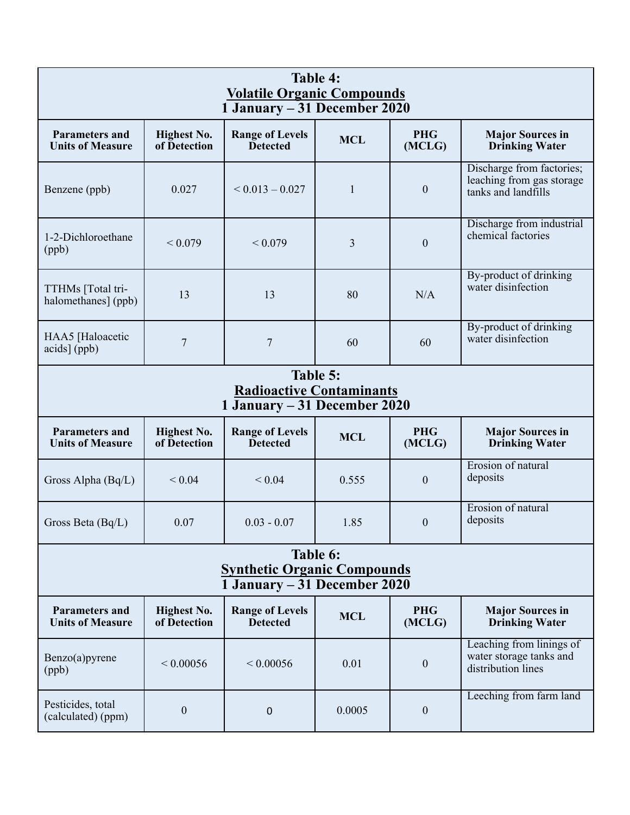| Table 4:<br><b>Volatile Organic Compounds</b><br>1 January - 31 December 2020  |                                    |                                           |            |                      |                                                                               |  |
|--------------------------------------------------------------------------------|------------------------------------|-------------------------------------------|------------|----------------------|-------------------------------------------------------------------------------|--|
| <b>Parameters and</b><br><b>Units of Measure</b>                               | <b>Highest No.</b><br>of Detection | <b>Range of Levels</b><br><b>Detected</b> | <b>MCL</b> | <b>PHG</b><br>(MCLG) | <b>Major Sources in</b><br><b>Drinking Water</b>                              |  |
| Benzene (ppb)                                                                  | 0.027                              | $< 0.013 - 0.027$                         | 1          | $\mathbf{0}$         | Discharge from factories;<br>leaching from gas storage<br>tanks and landfills |  |
| 1-2-Dichloroethane<br>(ppb)                                                    | ${}< 0.079$                        | ${}_{0.079}$                              | 3          | $\boldsymbol{0}$     | Discharge from industrial<br>chemical factories                               |  |
| TTHMs [Total tri-<br>halomethanes] (ppb)                                       | 13                                 | 13                                        | 80         | N/A                  | By-product of drinking<br>water disinfection                                  |  |
| HAA5 [Haloacetic<br>acids] (ppb)                                               | $\overline{7}$                     | $\overline{7}$                            | 60         | 60                   | By-product of drinking<br>water disinfection                                  |  |
| Table 5:<br><b>Radioactive Contaminants</b><br>1 January – 31 December 2020    |                                    |                                           |            |                      |                                                                               |  |
| <b>Parameters and</b><br><b>Units of Measure</b>                               | <b>Highest No.</b><br>of Detection | <b>Range of Levels</b><br><b>Detected</b> | <b>MCL</b> | <b>PHG</b><br>(MCLG) | <b>Major Sources in</b><br><b>Drinking Water</b>                              |  |
| Gross Alpha (Bq/L)                                                             | < 0.04                             | ${}< 0.04$                                | 0.555      | $\boldsymbol{0}$     | Erosion of natural<br>deposits                                                |  |
| Gross Beta $(Bq/L)$                                                            | 0.07                               | $0.03 - 0.07$                             | 1.85       | $\overline{0}$       | Erosion of natural<br>deposits                                                |  |
| Table 6:<br><b>Synthetic Organic Compounds</b><br>1 January – 31 December 2020 |                                    |                                           |            |                      |                                                                               |  |
| <b>Parameters and</b><br><b>Units of Measure</b>                               | <b>Highest No.</b><br>of Detection | <b>Range of Levels</b><br><b>Detected</b> | <b>MCL</b> | <b>PHG</b><br>(MCLG) | <b>Major Sources in</b><br><b>Drinking Water</b>                              |  |
| Benzo(a)pyrene<br>(ppb)                                                        | ${}< 0.00056$                      | ${}< 0.00056$                             | 0.01       | $\mathbf{0}$         | Leaching from linings of<br>water storage tanks and<br>distribution lines     |  |
| Pesticides, total<br>(calculated) (ppm)                                        | $\boldsymbol{0}$                   | $\pmb{0}$                                 | 0.0005     | $\boldsymbol{0}$     | Leeching from farm land                                                       |  |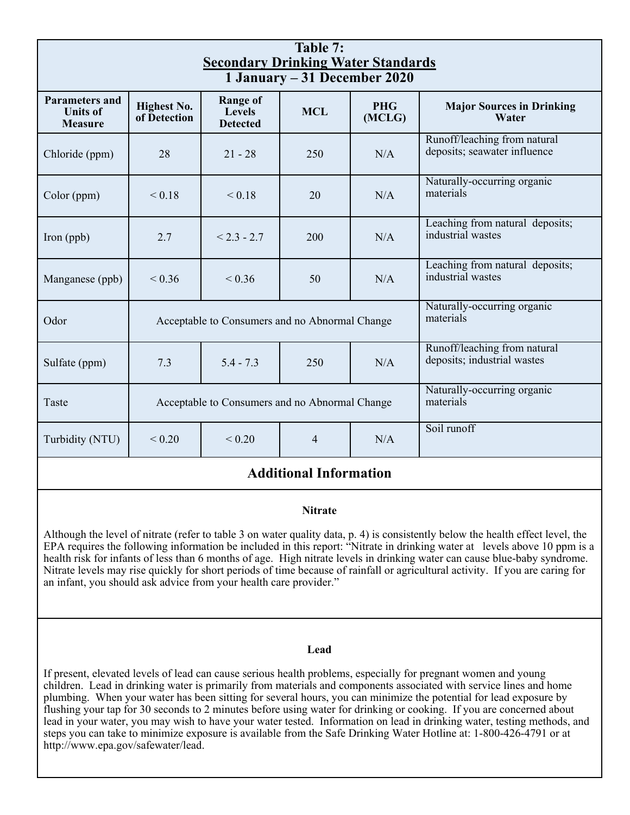| Table 7:<br><b>Secondary Drinking Water Standards</b><br>1 January – 31 December 2020 |                                                |                                                     |            |                      |                                                              |
|---------------------------------------------------------------------------------------|------------------------------------------------|-----------------------------------------------------|------------|----------------------|--------------------------------------------------------------|
| <b>Parameters and</b><br><b>Units of</b><br><b>Measure</b>                            | <b>Highest No.</b><br>of Detection             | <b>Range of</b><br><b>Levels</b><br><b>Detected</b> | <b>MCL</b> | <b>PHG</b><br>(MCLG) | <b>Major Sources in Drinking</b><br>Water                    |
| Chloride (ppm)                                                                        | 28                                             | $21 - 28$                                           | 250        | N/A                  | Runoff/leaching from natural<br>deposits; seawater influence |
| Color (ppm)                                                                           | ${}_{0.18}$                                    | ${}_{0.18}$                                         | 20         | N/A                  | Naturally-occurring organic<br>materials                     |
| Iron (ppb)                                                                            | 2.7                                            | $< 2.3 - 2.7$                                       | 200        | N/A                  | Leaching from natural deposits;<br>industrial wastes         |
| Manganese (ppb)                                                                       | ${}< 0.36$                                     | ${}< 0.36$                                          | 50         | N/A                  | Leaching from natural deposits;<br>industrial wastes         |
| Odor                                                                                  | Acceptable to Consumers and no Abnormal Change |                                                     |            |                      | Naturally-occurring organic<br>materials                     |
| Sulfate (ppm)                                                                         | 7.3                                            | $5.4 - 7.3$                                         | 250        | N/A                  | Runoff/leaching from natural<br>deposits; industrial wastes  |
| Taste                                                                                 | Acceptable to Consumers and no Abnormal Change |                                                     |            |                      | Naturally-occurring organic<br>materials                     |
| Turbidity (NTU)                                                                       | ${}< 0.20$                                     | ${}< 0.20$                                          | 4          | N/A                  | Soil runoff                                                  |

## **Additional Information**

#### **Nitrate**

Although the level of nitrate (refer to table 3 on water quality data, p. 4) is consistently below the health effect level, the EPA requires the following information be included in this report: "Nitrate in drinking water at levels above 10 ppm is a health risk for infants of less than 6 months of age. High nitrate levels in drinking water can cause blue-baby syndrome. Nitrate levels may rise quickly for short periods of time because of rainfall or agricultural activity. If you are caring for an infant, you should ask advice from your health care provider."

#### **Lead**

If present, elevated levels of lead can cause serious health problems, especially for pregnant women and young children. Lead in drinking water is primarily from materials and components associated with service lines and home plumbing. When your water has been sitting for several hours, you can minimize the potential for lead exposure by flushing your tap for 30 seconds to 2 minutes before using water for drinking or cooking. If you are concerned about lead in your water, you may wish to have your water tested. Information on lead in drinking water, testing methods, and steps you can take to minimize exposure is available from the Safe Drinking Water Hotline at: 1-800-426-4791 or at http://www.epa.gov/safewater/lead.